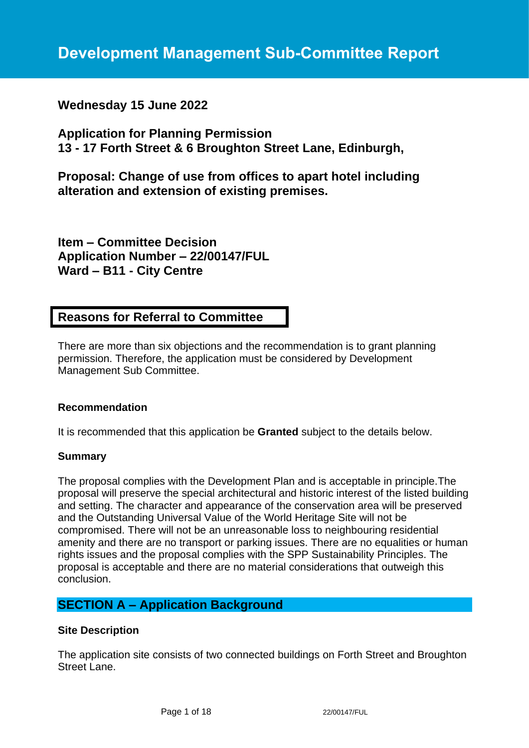# **Wednesday 15 June 2022**

**Application for Planning Permission 13 - 17 Forth Street & 6 Broughton Street Lane, Edinburgh,** 

**Proposal: Change of use from offices to apart hotel including alteration and extension of existing premises.**

**Item – Committee Decision Application Number – 22/00147/FUL Ward – B11 - City Centre**

# **Reasons for Referral to Committee**

There are more than six objections and the recommendation is to grant planning permission. Therefore, the application must be considered by Development Management Sub Committee.

## **Recommendation**

It is recommended that this application be **Granted** subject to the details below.

## **Summary**

The proposal complies with the Development Plan and is acceptable in principle.The proposal will preserve the special architectural and historic interest of the listed building and setting. The character and appearance of the conservation area will be preserved and the Outstanding Universal Value of the World Heritage Site will not be compromised. There will not be an unreasonable loss to neighbouring residential amenity and there are no transport or parking issues. There are no equalities or human rights issues and the proposal complies with the SPP Sustainability Principles. The proposal is acceptable and there are no material considerations that outweigh this conclusion.

# **SECTION A – Application Background**

#### **Site Description**

The application site consists of two connected buildings on Forth Street and Broughton Street Lane.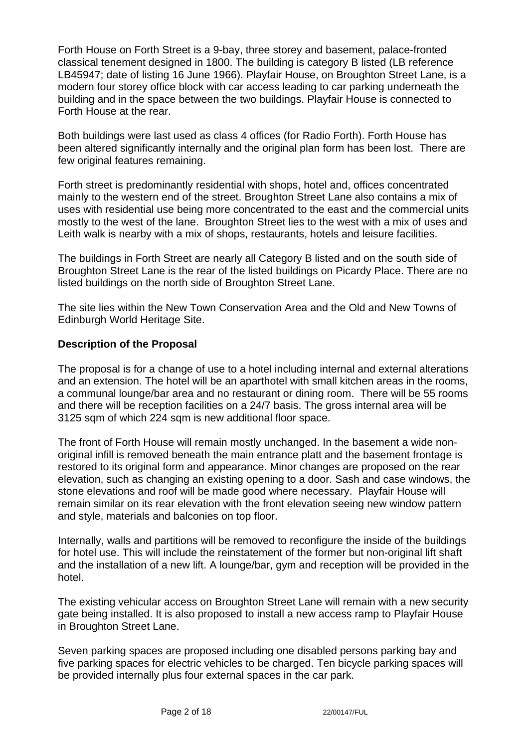Forth House on Forth Street is a 9-bay, three storey and basement, palace-fronted classical tenement designed in 1800. The building is category B listed (LB reference LB45947; date of listing 16 June 1966). Playfair House, on Broughton Street Lane, is a modern four storey office block with car access leading to car parking underneath the building and in the space between the two buildings. Playfair House is connected to Forth House at the rear.

Both buildings were last used as class 4 offices (for Radio Forth). Forth House has been altered significantly internally and the original plan form has been lost. There are few original features remaining.

Forth street is predominantly residential with shops, hotel and, offices concentrated mainly to the western end of the street. Broughton Street Lane also contains a mix of uses with residential use being more concentrated to the east and the commercial units mostly to the west of the lane. Broughton Street lies to the west with a mix of uses and Leith walk is nearby with a mix of shops, restaurants, hotels and leisure facilities.

The buildings in Forth Street are nearly all Category B listed and on the south side of Broughton Street Lane is the rear of the listed buildings on Picardy Place. There are no listed buildings on the north side of Broughton Street Lane.

The site lies within the New Town Conservation Area and the Old and New Towns of Edinburgh World Heritage Site.

## **Description of the Proposal**

The proposal is for a change of use to a hotel including internal and external alterations and an extension. The hotel will be an aparthotel with small kitchen areas in the rooms, a communal lounge/bar area and no restaurant or dining room. There will be 55 rooms and there will be reception facilities on a 24/7 basis. The gross internal area will be 3125 sqm of which 224 sqm is new additional floor space.

The front of Forth House will remain mostly unchanged. In the basement a wide nonoriginal infill is removed beneath the main entrance platt and the basement frontage is restored to its original form and appearance. Minor changes are proposed on the rear elevation, such as changing an existing opening to a door. Sash and case windows, the stone elevations and roof will be made good where necessary. Playfair House will remain similar on its rear elevation with the front elevation seeing new window pattern and style, materials and balconies on top floor.

Internally, walls and partitions will be removed to reconfigure the inside of the buildings for hotel use. This will include the reinstatement of the former but non-original lift shaft and the installation of a new lift. A lounge/bar, gym and reception will be provided in the hotel.

The existing vehicular access on Broughton Street Lane will remain with a new security gate being installed. It is also proposed to install a new access ramp to Playfair House in Broughton Street Lane.

Seven parking spaces are proposed including one disabled persons parking bay and five parking spaces for electric vehicles to be charged. Ten bicycle parking spaces will be provided internally plus four external spaces in the car park.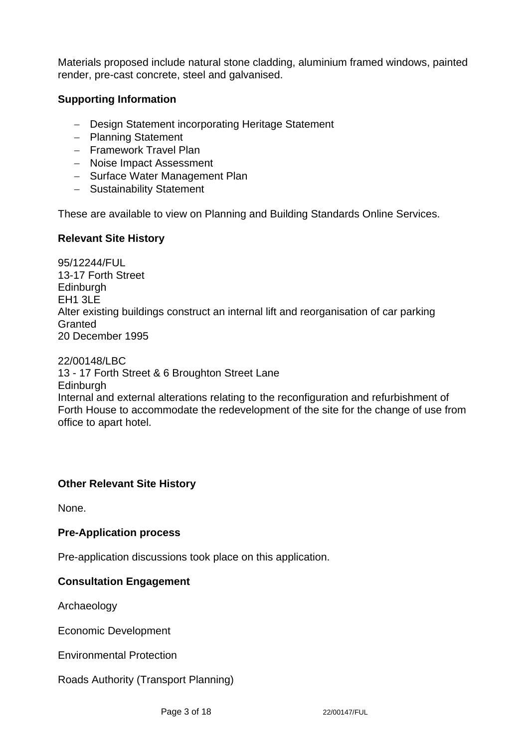Materials proposed include natural stone cladding, aluminium framed windows, painted render, pre-cast concrete, steel and galvanised.

# **Supporting Information**

- − Design Statement incorporating Heritage Statement
- − Planning Statement
- − Framework Travel Plan
- − Noise Impact Assessment
- − Surface Water Management Plan
- − Sustainability Statement

These are available to view on Planning and Building Standards Online Services.

## **Relevant Site History**

95/12244/FUL 13-17 Forth Street **Edinburgh** EH1 3LE Alter existing buildings construct an internal lift and reorganisation of car parking Granted 20 December 1995

22/00148/LBC 13 - 17 Forth Street & 6 Broughton Street Lane **Edinburgh** Internal and external alterations relating to the reconfiguration and refurbishment of Forth House to accommodate the redevelopment of the site for the change of use from office to apart hotel.

## **Other Relevant Site History**

None.

## **Pre-Application process**

Pre-application discussions took place on this application.

## **Consultation Engagement**

Archaeology

Economic Development

Environmental Protection

Roads Authority (Transport Planning)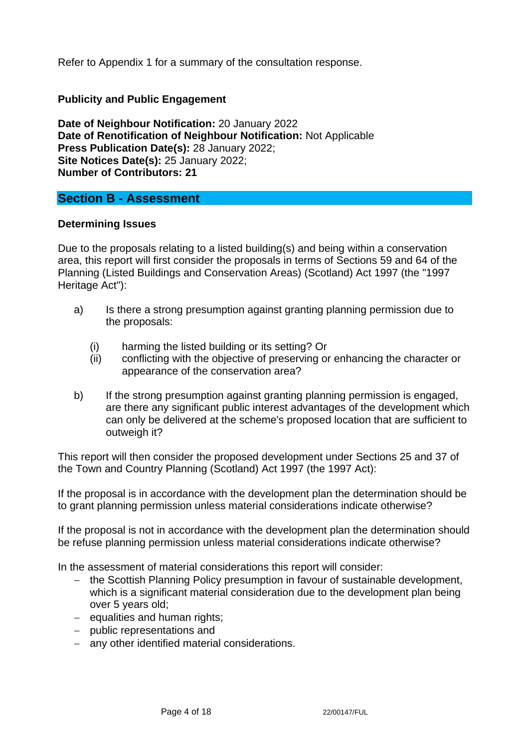Refer to Appendix 1 for a summary of the consultation response.

# **Publicity and Public Engagement**

**Date of Neighbour Notification:** 20 January 2022 **Date of Renotification of Neighbour Notification:** Not Applicable **Press Publication Date(s):** 28 January 2022; **Site Notices Date(s):** 25 January 2022; **Number of Contributors: 21**

# **Section B - Assessment**

#### **Determining Issues**

Due to the proposals relating to a listed building(s) and being within a conservation area, this report will first consider the proposals in terms of Sections 59 and 64 of the Planning (Listed Buildings and Conservation Areas) (Scotland) Act 1997 (the "1997 Heritage Act"):

- a) Is there a strong presumption against granting planning permission due to the proposals:
	- (i) harming the listed building or its setting? Or
	- (ii) conflicting with the objective of preserving or enhancing the character or appearance of the conservation area?
- b) If the strong presumption against granting planning permission is engaged, are there any significant public interest advantages of the development which can only be delivered at the scheme's proposed location that are sufficient to outweigh it?

This report will then consider the proposed development under Sections 25 and 37 of the Town and Country Planning (Scotland) Act 1997 (the 1997 Act):

If the proposal is in accordance with the development plan the determination should be to grant planning permission unless material considerations indicate otherwise?

If the proposal is not in accordance with the development plan the determination should be refuse planning permission unless material considerations indicate otherwise?

In the assessment of material considerations this report will consider:

- − the Scottish Planning Policy presumption in favour of sustainable development, which is a significant material consideration due to the development plan being over 5 years old;
- − equalities and human rights;
- − public representations and
- − any other identified material considerations.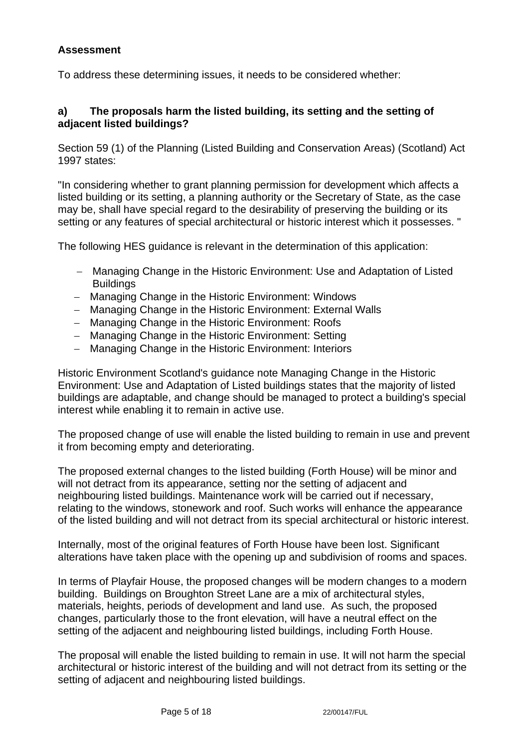# **Assessment**

To address these determining issues, it needs to be considered whether:

## **a) The proposals harm the listed building, its setting and the setting of adjacent listed buildings?**

Section 59 (1) of the Planning (Listed Building and Conservation Areas) (Scotland) Act 1997 states:

"In considering whether to grant planning permission for development which affects a listed building or its setting, a planning authority or the Secretary of State, as the case may be, shall have special regard to the desirability of preserving the building or its setting or any features of special architectural or historic interest which it possesses. "

The following HES guidance is relevant in the determination of this application:

- − Managing Change in the Historic Environment: Use and Adaptation of Listed **Buildings**
- − Managing Change in the Historic Environment: Windows
- − Managing Change in the Historic Environment: External Walls
- − Managing Change in the Historic Environment: Roofs
- − Managing Change in the Historic Environment: Setting
- − Managing Change in the Historic Environment: Interiors

Historic Environment Scotland's guidance note Managing Change in the Historic Environment: Use and Adaptation of Listed buildings states that the majority of listed buildings are adaptable, and change should be managed to protect a building's special interest while enabling it to remain in active use.

The proposed change of use will enable the listed building to remain in use and prevent it from becoming empty and deteriorating.

The proposed external changes to the listed building (Forth House) will be minor and will not detract from its appearance, setting nor the setting of adjacent and neighbouring listed buildings. Maintenance work will be carried out if necessary, relating to the windows, stonework and roof. Such works will enhance the appearance of the listed building and will not detract from its special architectural or historic interest.

Internally, most of the original features of Forth House have been lost. Significant alterations have taken place with the opening up and subdivision of rooms and spaces.

In terms of Playfair House, the proposed changes will be modern changes to a modern building. Buildings on Broughton Street Lane are a mix of architectural styles, materials, heights, periods of development and land use. As such, the proposed changes, particularly those to the front elevation, will have a neutral effect on the setting of the adjacent and neighbouring listed buildings, including Forth House.

The proposal will enable the listed building to remain in use. It will not harm the special architectural or historic interest of the building and will not detract from its setting or the setting of adjacent and neighbouring listed buildings.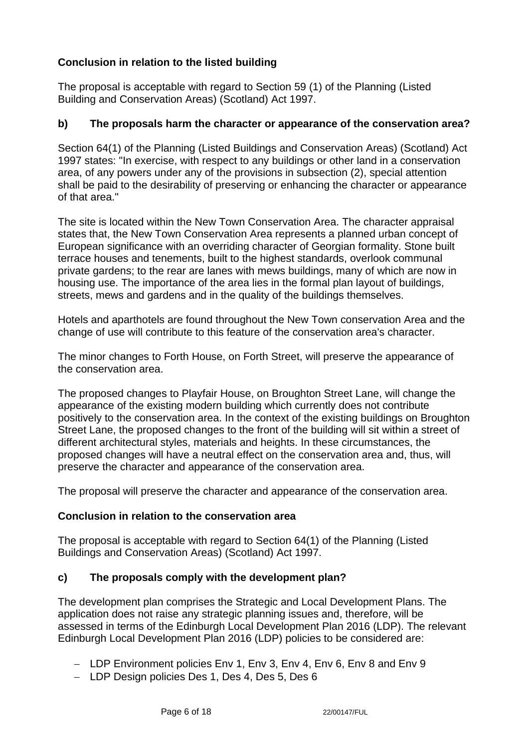# **Conclusion in relation to the listed building**

The proposal is acceptable with regard to Section 59 (1) of the Planning (Listed Building and Conservation Areas) (Scotland) Act 1997.

# **b) The proposals harm the character or appearance of the conservation area?**

Section 64(1) of the Planning (Listed Buildings and Conservation Areas) (Scotland) Act 1997 states: "In exercise, with respect to any buildings or other land in a conservation area, of any powers under any of the provisions in subsection (2), special attention shall be paid to the desirability of preserving or enhancing the character or appearance of that area."

The site is located within the New Town Conservation Area. The character appraisal states that, the New Town Conservation Area represents a planned urban concept of European significance with an overriding character of Georgian formality. Stone built terrace houses and tenements, built to the highest standards, overlook communal private gardens; to the rear are lanes with mews buildings, many of which are now in housing use. The importance of the area lies in the formal plan layout of buildings, streets, mews and gardens and in the quality of the buildings themselves.

Hotels and aparthotels are found throughout the New Town conservation Area and the change of use will contribute to this feature of the conservation area's character.

The minor changes to Forth House, on Forth Street, will preserve the appearance of the conservation area.

The proposed changes to Playfair House, on Broughton Street Lane, will change the appearance of the existing modern building which currently does not contribute positively to the conservation area. In the context of the existing buildings on Broughton Street Lane, the proposed changes to the front of the building will sit within a street of different architectural styles, materials and heights. In these circumstances, the proposed changes will have a neutral effect on the conservation area and, thus, will preserve the character and appearance of the conservation area.

The proposal will preserve the character and appearance of the conservation area.

## **Conclusion in relation to the conservation area**

The proposal is acceptable with regard to Section 64(1) of the Planning (Listed Buildings and Conservation Areas) (Scotland) Act 1997.

## **c) The proposals comply with the development plan?**

The development plan comprises the Strategic and Local Development Plans. The application does not raise any strategic planning issues and, therefore, will be assessed in terms of the Edinburgh Local Development Plan 2016 (LDP). The relevant Edinburgh Local Development Plan 2016 (LDP) policies to be considered are:

- − LDP Environment policies Env 1, Env 3, Env 4, Env 6, Env 8 and Env 9
- − LDP Design policies Des 1, Des 4, Des 5, Des 6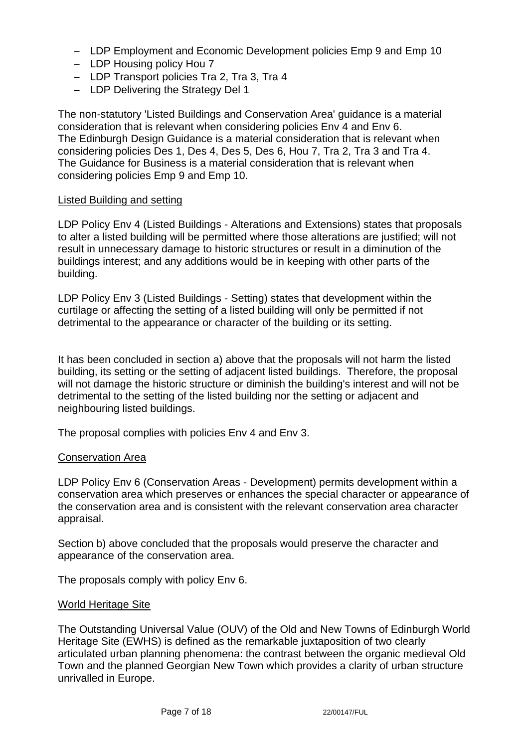- − LDP Employment and Economic Development policies Emp 9 and Emp 10
- − LDP Housing policy Hou 7
- − LDP Transport policies Tra 2, Tra 3, Tra 4
- − LDP Delivering the Strategy Del 1

The non-statutory 'Listed Buildings and Conservation Area' guidance is a material consideration that is relevant when considering policies Env 4 and Env 6. The Edinburgh Design Guidance is a material consideration that is relevant when considering policies Des 1, Des 4, Des 5, Des 6, Hou 7, Tra 2, Tra 3 and Tra 4. The Guidance for Business is a material consideration that is relevant when considering policies Emp 9 and Emp 10.

#### Listed Building and setting

LDP Policy Env 4 (Listed Buildings - Alterations and Extensions) states that proposals to alter a listed building will be permitted where those alterations are justified; will not result in unnecessary damage to historic structures or result in a diminution of the buildings interest; and any additions would be in keeping with other parts of the building.

LDP Policy Env 3 (Listed Buildings - Setting) states that development within the curtilage or affecting the setting of a listed building will only be permitted if not detrimental to the appearance or character of the building or its setting.

It has been concluded in section a) above that the proposals will not harm the listed building, its setting or the setting of adjacent listed buildings. Therefore, the proposal will not damage the historic structure or diminish the building's interest and will not be detrimental to the setting of the listed building nor the setting or adjacent and neighbouring listed buildings.

The proposal complies with policies Env 4 and Env 3.

#### Conservation Area

LDP Policy Env 6 (Conservation Areas - Development) permits development within a conservation area which preserves or enhances the special character or appearance of the conservation area and is consistent with the relevant conservation area character appraisal.

Section b) above concluded that the proposals would preserve the character and appearance of the conservation area.

The proposals comply with policy Env 6.

#### World Heritage Site

The Outstanding Universal Value (OUV) of the Old and New Towns of Edinburgh World Heritage Site (EWHS) is defined as the remarkable juxtaposition of two clearly articulated urban planning phenomena: the contrast between the organic medieval Old Town and the planned Georgian New Town which provides a clarity of urban structure unrivalled in Europe.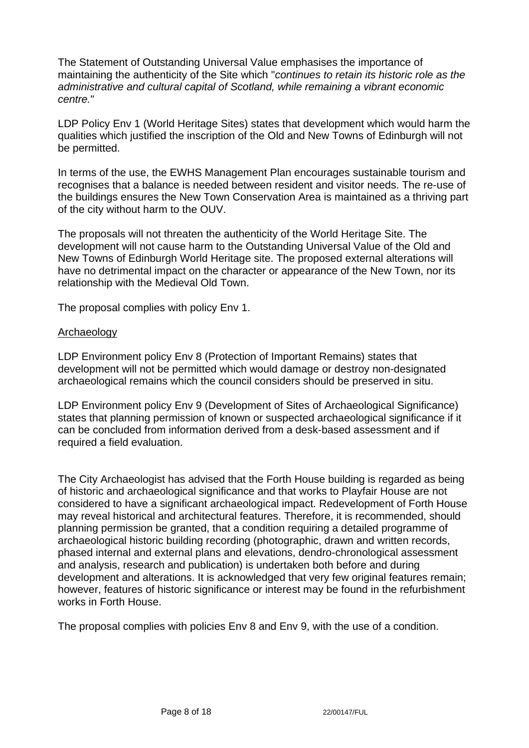The Statement of Outstanding Universal Value emphasises the importance of maintaining the authenticity of the Site which "*continues to retain its historic role as the administrative and cultural capital of Scotland, while remaining a vibrant economic centre.*"

LDP Policy Env 1 (World Heritage Sites) states that development which would harm the qualities which justified the inscription of the Old and New Towns of Edinburgh will not be permitted.

In terms of the use, the EWHS Management Plan encourages sustainable tourism and recognises that a balance is needed between resident and visitor needs. The re-use of the buildings ensures the New Town Conservation Area is maintained as a thriving part of the city without harm to the OUV.

The proposals will not threaten the authenticity of the World Heritage Site. The development will not cause harm to the Outstanding Universal Value of the Old and New Towns of Edinburgh World Heritage site. The proposed external alterations will have no detrimental impact on the character or appearance of the New Town, nor its relationship with the Medieval Old Town.

The proposal complies with policy Env 1.

#### Archaeology

LDP Environment policy Env 8 (Protection of Important Remains) states that development will not be permitted which would damage or destroy non-designated archaeological remains which the council considers should be preserved in situ.

LDP Environment policy Env 9 (Development of Sites of Archaeological Significance) states that planning permission of known or suspected archaeological significance if it can be concluded from information derived from a desk-based assessment and if required a field evaluation.

The City Archaeologist has advised that the Forth House building is regarded as being of historic and archaeological significance and that works to Playfair House are not considered to have a significant archaeological impact. Redevelopment of Forth House may reveal historical and architectural features. Therefore, it is recommended, should planning permission be granted, that a condition requiring a detailed programme of archaeological historic building recording (photographic, drawn and written records, phased internal and external plans and elevations, dendro-chronological assessment and analysis, research and publication) is undertaken both before and during development and alterations. It is acknowledged that very few original features remain; however, features of historic significance or interest may be found in the refurbishment works in Forth House.

The proposal complies with policies Env 8 and Env 9, with the use of a condition.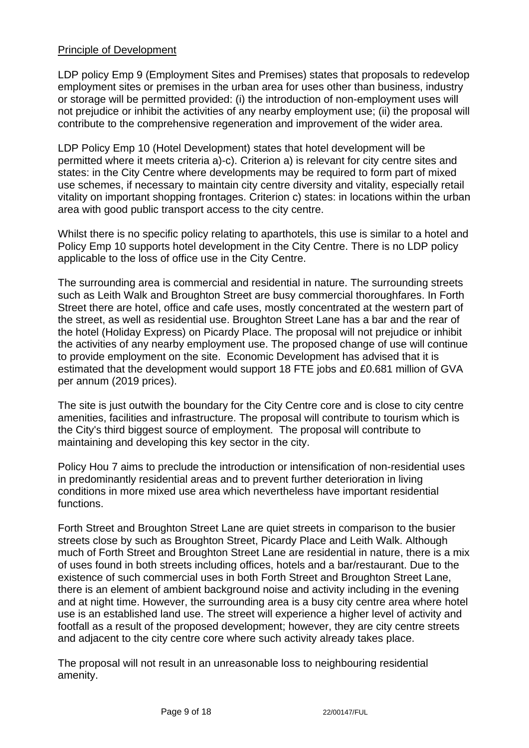# Principle of Development

LDP policy Emp 9 (Employment Sites and Premises) states that proposals to redevelop employment sites or premises in the urban area for uses other than business, industry or storage will be permitted provided: (i) the introduction of non-employment uses will not prejudice or inhibit the activities of any nearby employment use; (ii) the proposal will contribute to the comprehensive regeneration and improvement of the wider area.

LDP Policy Emp 10 (Hotel Development) states that hotel development will be permitted where it meets criteria a)-c). Criterion a) is relevant for city centre sites and states: in the City Centre where developments may be required to form part of mixed use schemes, if necessary to maintain city centre diversity and vitality, especially retail vitality on important shopping frontages. Criterion c) states: in locations within the urban area with good public transport access to the city centre.

Whilst there is no specific policy relating to aparthotels, this use is similar to a hotel and Policy Emp 10 supports hotel development in the City Centre. There is no LDP policy applicable to the loss of office use in the City Centre.

The surrounding area is commercial and residential in nature. The surrounding streets such as Leith Walk and Broughton Street are busy commercial thoroughfares. In Forth Street there are hotel, office and cafe uses, mostly concentrated at the western part of the street, as well as residential use. Broughton Street Lane has a bar and the rear of the hotel (Holiday Express) on Picardy Place. The proposal will not prejudice or inhibit the activities of any nearby employment use. The proposed change of use will continue to provide employment on the site. Economic Development has advised that it is estimated that the development would support 18 FTE jobs and £0.681 million of GVA per annum (2019 prices).

The site is just outwith the boundary for the City Centre core and is close to city centre amenities, facilities and infrastructure. The proposal will contribute to tourism which is the City's third biggest source of employment. The proposal will contribute to maintaining and developing this key sector in the city.

Policy Hou 7 aims to preclude the introduction or intensification of non-residential uses in predominantly residential areas and to prevent further deterioration in living conditions in more mixed use area which nevertheless have important residential functions.

Forth Street and Broughton Street Lane are quiet streets in comparison to the busier streets close by such as Broughton Street, Picardy Place and Leith Walk. Although much of Forth Street and Broughton Street Lane are residential in nature, there is a mix of uses found in both streets including offices, hotels and a bar/restaurant. Due to the existence of such commercial uses in both Forth Street and Broughton Street Lane, there is an element of ambient background noise and activity including in the evening and at night time. However, the surrounding area is a busy city centre area where hotel use is an established land use. The street will experience a higher level of activity and footfall as a result of the proposed development; however, they are city centre streets and adjacent to the city centre core where such activity already takes place.

The proposal will not result in an unreasonable loss to neighbouring residential amenity.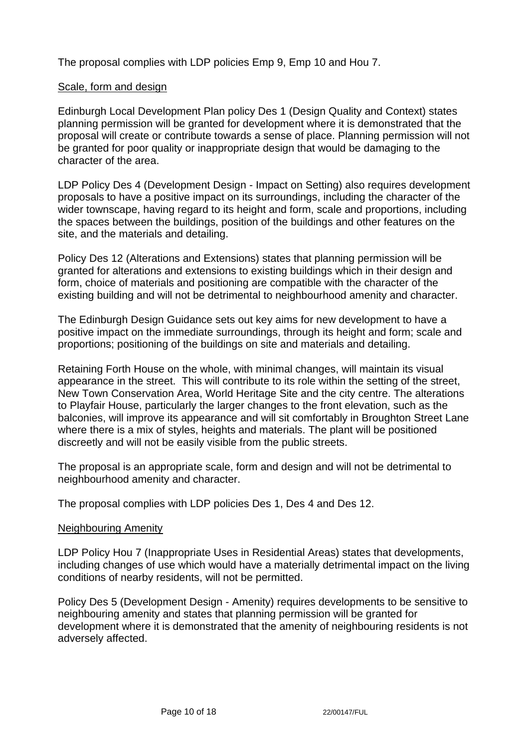The proposal complies with LDP policies Emp 9, Emp 10 and Hou 7.

## Scale, form and design

Edinburgh Local Development Plan policy Des 1 (Design Quality and Context) states planning permission will be granted for development where it is demonstrated that the proposal will create or contribute towards a sense of place. Planning permission will not be granted for poor quality or inappropriate design that would be damaging to the character of the area.

LDP Policy Des 4 (Development Design - Impact on Setting) also requires development proposals to have a positive impact on its surroundings, including the character of the wider townscape, having regard to its height and form, scale and proportions, including the spaces between the buildings, position of the buildings and other features on the site, and the materials and detailing.

Policy Des 12 (Alterations and Extensions) states that planning permission will be granted for alterations and extensions to existing buildings which in their design and form, choice of materials and positioning are compatible with the character of the existing building and will not be detrimental to neighbourhood amenity and character.

The Edinburgh Design Guidance sets out key aims for new development to have a positive impact on the immediate surroundings, through its height and form; scale and proportions; positioning of the buildings on site and materials and detailing.

Retaining Forth House on the whole, with minimal changes, will maintain its visual appearance in the street. This will contribute to its role within the setting of the street, New Town Conservation Area, World Heritage Site and the city centre. The alterations to Playfair House, particularly the larger changes to the front elevation, such as the balconies, will improve its appearance and will sit comfortably in Broughton Street Lane where there is a mix of styles, heights and materials. The plant will be positioned discreetly and will not be easily visible from the public streets.

The proposal is an appropriate scale, form and design and will not be detrimental to neighbourhood amenity and character.

The proposal complies with LDP policies Des 1, Des 4 and Des 12.

## Neighbouring Amenity

LDP Policy Hou 7 (Inappropriate Uses in Residential Areas) states that developments, including changes of use which would have a materially detrimental impact on the living conditions of nearby residents, will not be permitted.

Policy Des 5 (Development Design - Amenity) requires developments to be sensitive to neighbouring amenity and states that planning permission will be granted for development where it is demonstrated that the amenity of neighbouring residents is not adversely affected.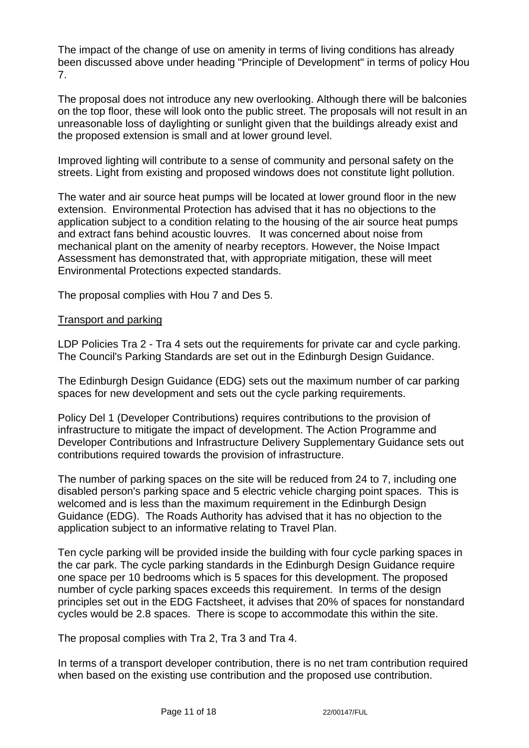The impact of the change of use on amenity in terms of living conditions has already been discussed above under heading "Principle of Development" in terms of policy Hou 7.

The proposal does not introduce any new overlooking. Although there will be balconies on the top floor, these will look onto the public street. The proposals will not result in an unreasonable loss of daylighting or sunlight given that the buildings already exist and the proposed extension is small and at lower ground level.

Improved lighting will contribute to a sense of community and personal safety on the streets. Light from existing and proposed windows does not constitute light pollution.

The water and air source heat pumps will be located at lower ground floor in the new extension. Environmental Protection has advised that it has no objections to the application subject to a condition relating to the housing of the air source heat pumps and extract fans behind acoustic louvres. It was concerned about noise from mechanical plant on the amenity of nearby receptors. However, the Noise Impact Assessment has demonstrated that, with appropriate mitigation, these will meet Environmental Protections expected standards.

The proposal complies with Hou 7 and Des 5.

#### Transport and parking

LDP Policies Tra 2 - Tra 4 sets out the requirements for private car and cycle parking. The Council's Parking Standards are set out in the Edinburgh Design Guidance.

The Edinburgh Design Guidance (EDG) sets out the maximum number of car parking spaces for new development and sets out the cycle parking requirements.

Policy Del 1 (Developer Contributions) requires contributions to the provision of infrastructure to mitigate the impact of development. The Action Programme and Developer Contributions and Infrastructure Delivery Supplementary Guidance sets out contributions required towards the provision of infrastructure.

The number of parking spaces on the site will be reduced from 24 to 7, including one disabled person's parking space and 5 electric vehicle charging point spaces. This is welcomed and is less than the maximum requirement in the Edinburgh Design Guidance (EDG). The Roads Authority has advised that it has no objection to the application subject to an informative relating to Travel Plan.

Ten cycle parking will be provided inside the building with four cycle parking spaces in the car park. The cycle parking standards in the Edinburgh Design Guidance require one space per 10 bedrooms which is 5 spaces for this development. The proposed number of cycle parking spaces exceeds this requirement. In terms of the design principles set out in the EDG Factsheet, it advises that 20% of spaces for nonstandard cycles would be 2.8 spaces. There is scope to accommodate this within the site.

The proposal complies with Tra 2, Tra 3 and Tra 4.

In terms of a transport developer contribution, there is no net tram contribution required when based on the existing use contribution and the proposed use contribution.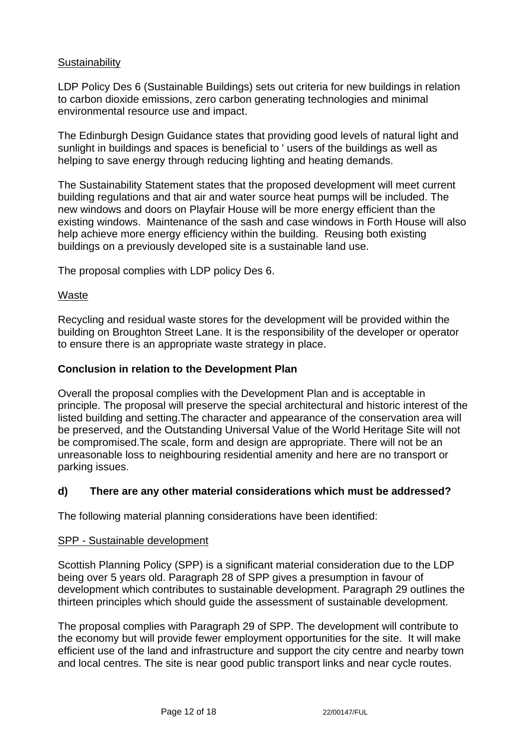## **Sustainability**

LDP Policy Des 6 (Sustainable Buildings) sets out criteria for new buildings in relation to carbon dioxide emissions, zero carbon generating technologies and minimal environmental resource use and impact.

The Edinburgh Design Guidance states that providing good levels of natural light and sunlight in buildings and spaces is beneficial to ' users of the buildings as well as helping to save energy through reducing lighting and heating demands.

The Sustainability Statement states that the proposed development will meet current building regulations and that air and water source heat pumps will be included. The new windows and doors on Playfair House will be more energy efficient than the existing windows. Maintenance of the sash and case windows in Forth House will also help achieve more energy efficiency within the building. Reusing both existing buildings on a previously developed site is a sustainable land use.

The proposal complies with LDP policy Des 6.

## Waste

Recycling and residual waste stores for the development will be provided within the building on Broughton Street Lane. It is the responsibility of the developer or operator to ensure there is an appropriate waste strategy in place.

#### **Conclusion in relation to the Development Plan**

Overall the proposal complies with the Development Plan and is acceptable in principle. The proposal will preserve the special architectural and historic interest of the listed building and setting.The character and appearance of the conservation area will be preserved, and the Outstanding Universal Value of the World Heritage Site will not be compromised.The scale, form and design are appropriate. There will not be an unreasonable loss to neighbouring residential amenity and here are no transport or parking issues.

## **d) There are any other material considerations which must be addressed?**

The following material planning considerations have been identified:

#### SPP - Sustainable development

Scottish Planning Policy (SPP) is a significant material consideration due to the LDP being over 5 years old. Paragraph 28 of SPP gives a presumption in favour of development which contributes to sustainable development. Paragraph 29 outlines the thirteen principles which should guide the assessment of sustainable development.

The proposal complies with Paragraph 29 of SPP. The development will contribute to the economy but will provide fewer employment opportunities for the site. It will make efficient use of the land and infrastructure and support the city centre and nearby town and local centres. The site is near good public transport links and near cycle routes.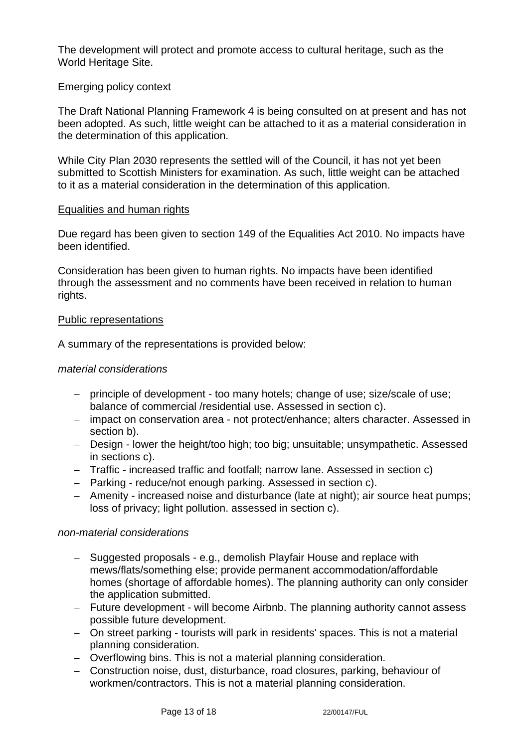The development will protect and promote access to cultural heritage, such as the World Heritage Site.

#### Emerging policy context

The Draft National Planning Framework 4 is being consulted on at present and has not been adopted. As such, little weight can be attached to it as a material consideration in the determination of this application.

While City Plan 2030 represents the settled will of the Council, it has not yet been submitted to Scottish Ministers for examination. As such, little weight can be attached to it as a material consideration in the determination of this application.

#### Equalities and human rights

Due regard has been given to section 149 of the Equalities Act 2010. No impacts have been identified.

Consideration has been given to human rights. No impacts have been identified through the assessment and no comments have been received in relation to human rights.

#### Public representations

A summary of the representations is provided below:

#### *material considerations*

- − principle of development too many hotels; change of use; size/scale of use; balance of commercial /residential use. Assessed in section c).
- − impact on conservation area not protect/enhance; alters character. Assessed in section b).
- − Design lower the height/too high; too big; unsuitable; unsympathetic. Assessed in sections c).
- − Traffic increased traffic and footfall; narrow lane. Assessed in section c)
- − Parking reduce/not enough parking. Assessed in section c).
- − Amenity increased noise and disturbance (late at night); air source heat pumps; loss of privacy; light pollution. assessed in section c).

#### *non-material considerations*

- − Suggested proposals e.g., demolish Playfair House and replace with mews/flats/something else; provide permanent accommodation/affordable homes (shortage of affordable homes). The planning authority can only consider the application submitted.
- − Future development will become Airbnb. The planning authority cannot assess possible future development.
- − On street parking tourists will park in residents' spaces. This is not a material planning consideration.
- − Overflowing bins. This is not a material planning consideration.
- − Construction noise, dust, disturbance, road closures, parking, behaviour of workmen/contractors. This is not a material planning consideration.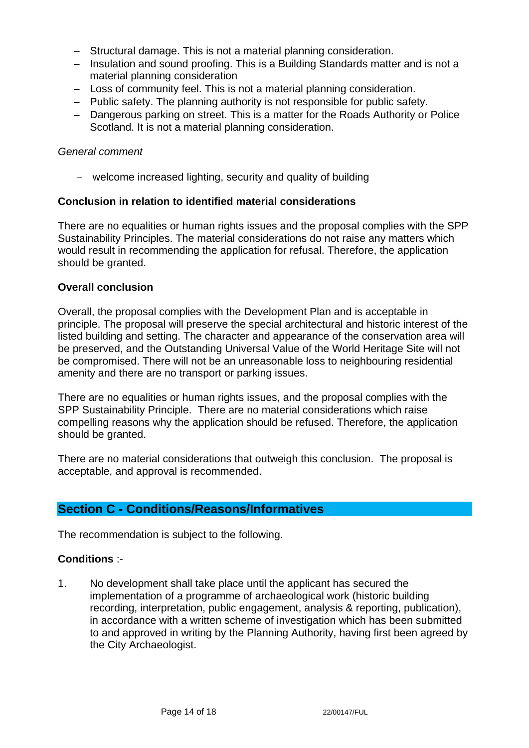- − Structural damage. This is not a material planning consideration.
- − Insulation and sound proofing. This is a Building Standards matter and is not a material planning consideration
- − Loss of community feel. This is not a material planning consideration.
- − Public safety. The planning authority is not responsible for public safety.
- − Dangerous parking on street. This is a matter for the Roads Authority or Police Scotland. It is not a material planning consideration.

#### *General comment*

− welcome increased lighting, security and quality of building

## **Conclusion in relation to identified material considerations**

There are no equalities or human rights issues and the proposal complies with the SPP Sustainability Principles. The material considerations do not raise any matters which would result in recommending the application for refusal. Therefore, the application should be granted.

#### **Overall conclusion**

Overall, the proposal complies with the Development Plan and is acceptable in principle. The proposal will preserve the special architectural and historic interest of the listed building and setting. The character and appearance of the conservation area will be preserved, and the Outstanding Universal Value of the World Heritage Site will not be compromised. There will not be an unreasonable loss to neighbouring residential amenity and there are no transport or parking issues.

There are no equalities or human rights issues, and the proposal complies with the SPP Sustainability Principle. There are no material considerations which raise compelling reasons why the application should be refused. Therefore, the application should be granted.

There are no material considerations that outweigh this conclusion. The proposal is acceptable, and approval is recommended.

# **Section C - Conditions/Reasons/Informatives**

The recommendation is subject to the following.

## **Conditions** :-

1. No development shall take place until the applicant has secured the implementation of a programme of archaeological work (historic building recording, interpretation, public engagement, analysis & reporting, publication), in accordance with a written scheme of investigation which has been submitted to and approved in writing by the Planning Authority, having first been agreed by the City Archaeologist.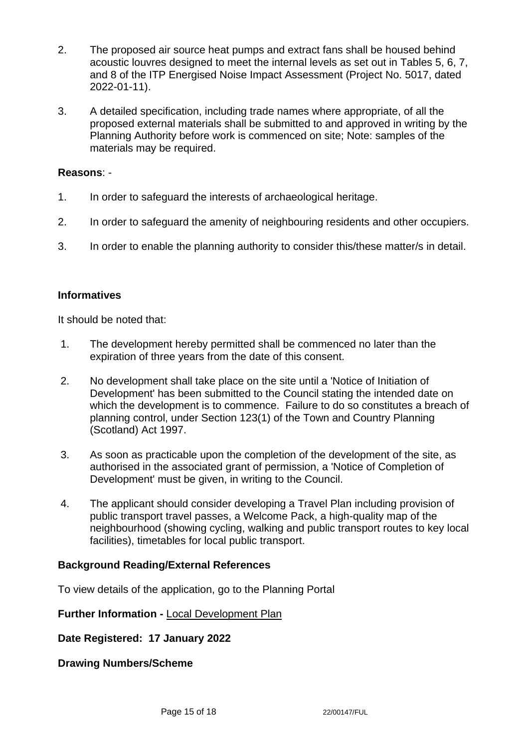- 2. The proposed air source heat pumps and extract fans shall be housed behind acoustic louvres designed to meet the internal levels as set out in Tables 5, 6, 7, and 8 of the ITP Energised Noise Impact Assessment (Project No. 5017, dated 2022-01-11).
- 3. A detailed specification, including trade names where appropriate, of all the proposed external materials shall be submitted to and approved in writing by the Planning Authority before work is commenced on site; Note: samples of the materials may be required.

#### **Reasons**: -

- 1. In order to safeguard the interests of archaeological heritage.
- 2. In order to safeguard the amenity of neighbouring residents and other occupiers.
- 3. In order to enable the planning authority to consider this/these matter/s in detail.

## **Informatives**

It should be noted that:

- 1. The development hereby permitted shall be commenced no later than the expiration of three years from the date of this consent.
- 2. No development shall take place on the site until a 'Notice of Initiation of Development' has been submitted to the Council stating the intended date on which the development is to commence. Failure to do so constitutes a breach of planning control, under Section 123(1) of the Town and Country Planning (Scotland) Act 1997.
- 3. As soon as practicable upon the completion of the development of the site, as authorised in the associated grant of permission, a 'Notice of Completion of Development' must be given, in writing to the Council.
- 4. The applicant should consider developing a Travel Plan including provision of public transport travel passes, a Welcome Pack, a high-quality map of the neighbourhood (showing cycling, walking and public transport routes to key local facilities), timetables for local public transport.

## **Background Reading/External References**

To view details of the application, go to the Planning Portal

## **Further Information -** [Local Development Plan](https://www.edinburgh.gov.uk/local-development-plan-guidance-1/edinburgh-local-development-plan/1)

**Date Registered: 17 January 2022**

**Drawing Numbers/Scheme**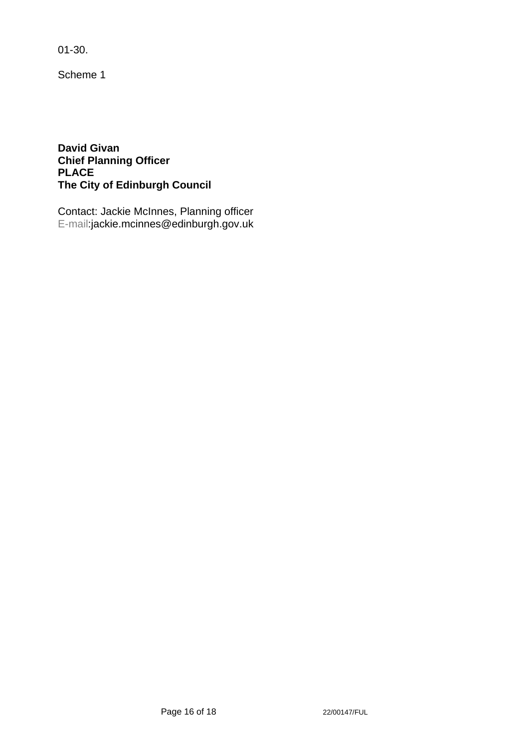01-30.

Scheme 1

**David Givan Chief Planning Officer PLACE The City of Edinburgh Council**

Contact: Jackie McInnes, Planning officer E-mail:jackie.mcinnes@edinburgh.gov.uk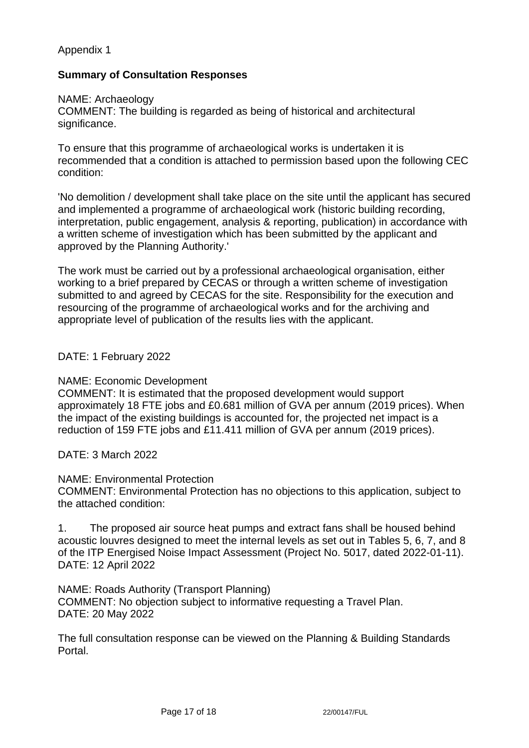# Appendix 1

# **Summary of Consultation Responses**

#### NAME: Archaeology

COMMENT: The building is regarded as being of historical and architectural significance.

To ensure that this programme of archaeological works is undertaken it is recommended that a condition is attached to permission based upon the following CEC condition:

'No demolition / development shall take place on the site until the applicant has secured and implemented a programme of archaeological work (historic building recording, interpretation, public engagement, analysis & reporting, publication) in accordance with a written scheme of investigation which has been submitted by the applicant and approved by the Planning Authority.'

The work must be carried out by a professional archaeological organisation, either working to a brief prepared by CECAS or through a written scheme of investigation submitted to and agreed by CECAS for the site. Responsibility for the execution and resourcing of the programme of archaeological works and for the archiving and appropriate level of publication of the results lies with the applicant.

## DATE: 1 February 2022

## NAME: Economic Development

COMMENT: It is estimated that the proposed development would support approximately 18 FTE jobs and £0.681 million of GVA per annum (2019 prices). When the impact of the existing buildings is accounted for, the projected net impact is a reduction of 159 FTE jobs and £11.411 million of GVA per annum (2019 prices).

DATE: 3 March 2022

## NAME: Environmental Protection

COMMENT: Environmental Protection has no objections to this application, subject to the attached condition:

1. The proposed air source heat pumps and extract fans shall be housed behind acoustic louvres designed to meet the internal levels as set out in Tables 5, 6, 7, and 8 of the ITP Energised Noise Impact Assessment (Project No. 5017, dated 2022-01-11). DATE: 12 April 2022

NAME: Roads Authority (Transport Planning) COMMENT: No objection subject to informative requesting a Travel Plan. DATE: 20 May 2022

The full consultation response can be viewed on the Planning & Building Standards Portal.